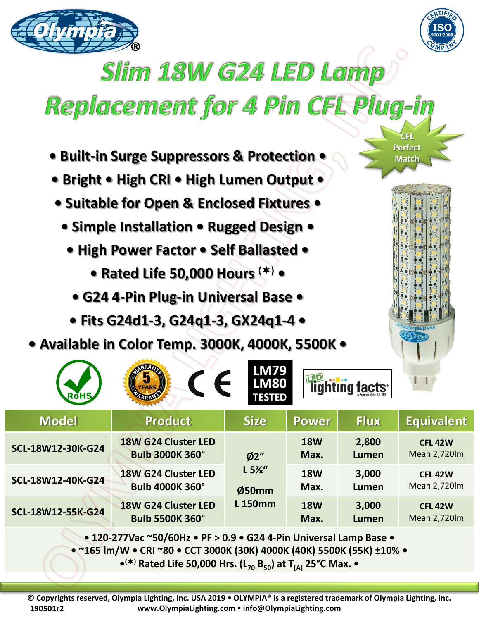



**CFL Perfect Match** 

## **Slim 18W G24 LED Lamp**

## Replacement for 4 Pin CFL Plug-in

- **Built-in Surge Suppressors & Protection •**
- **Bright • High CRI • High Lumen Output •**
- **Suitable for Open & Enclosed Fixtures •**
	- **Simple Installation Rugged Design •**
		- **High Power Factor Self Ballasted** 
			- **Rated Life 50,000 Hours () •**
			- **G24 4-Pin Plug-in Universal Base**
		- **Fits G24d1-3, G24q1-3, GX24q1-4 •**
- **Available in Color Temp. 3000K, 4000K, 5500K •**

| <b>RoHS</b>       | $\epsilon$<br><b>EARS</b>                                                                            | <b>LM79</b><br><b>LM80</b><br><b>TESTED</b> |                    | lighting facts <sup>®</sup> |                                |
|-------------------|------------------------------------------------------------------------------------------------------|---------------------------------------------|--------------------|-----------------------------|--------------------------------|
| <b>Model</b>      | <b>Product</b>                                                                                       | <b>Size</b>                                 | <b>Power</b>       | <b>Flux</b>                 | <b>Equivalent</b>              |
| SCL-18W12-30K-G24 | <b>18W G24 Cluster LED</b><br><b>Bulb 3000K 360°</b>                                                 | Ø2"<br>L 5%''<br>Ø50mm<br><b>L150mm</b>     | <b>18W</b><br>Max. | 2,800<br>Lumen              | <b>CFL 42W</b><br>Mean 2,720lm |
| SCL-18W12-40K-G24 | 18W G24 Cluster LED<br><b>Bulb 4000K 360°</b>                                                        |                                             | <b>18W</b><br>Max. | 3,000<br>Lumen              | <b>CFL 42W</b><br>Mean 2,720lm |
| SCL-18W12-55K-G24 | 18W G24 Cluster LED<br><b>Bulb 5500K 360°</b>                                                        |                                             | <b>18W</b><br>Max. | 3,000<br><b>Lumen</b>       | <b>CFL 42W</b><br>Mean 2,720lm |
|                   | $\bullet$ 120-277Vac ~50/60Hz $\bullet$ PF $>$ 0.9 $\bullet$ G24 4-Pin Universal Lamp Base $\bullet$ |                                             |                    |                             |                                |

**• 120-277Vac ~50/60Hz • PF > 0.9 • G24 4-Pin Universal Lamp Base •**

**• ~165 lm/W • CRI ~80 • CCT 3000K (30K) 4000K (40K) 5500K (55K) ±10% •**

**• () Rated Life 50,000 Hrs. (L<sup>70</sup> B50) at T[A] 25°C Max. •**

**© Copyrights reserved, Olympia Lighting, Inc. USA 2019 OLYMPIA® is a registered trademark of Olympia Lighting, inc. www.OlympiaLighting.com info@OlympiaLighting.com 190501r2**